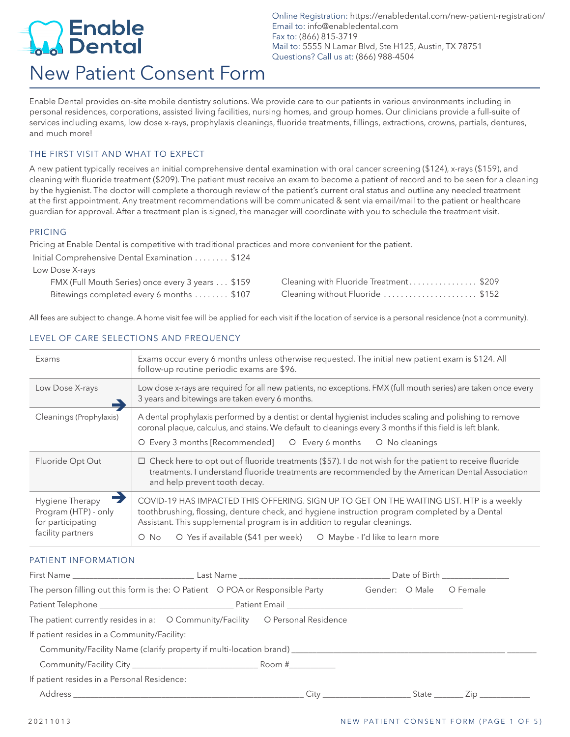## Enable<br>Dental New Patient Consent Form

Online Registration: https://enabledental.com/new-patient-registration/ Email to: info@enabledental.com Fax to: (866) 815-3719 Mail to: 5555 N Lamar Blvd, Ste H125, Austin, TX 78751 Questions? Call us at: (866) 988-4504

Enable Dental provides on-site mobile dentistry solutions. We provide care to our patients in various environments including in personal residences, corporations, assisted living facilities, nursing homes, and group homes. Our clinicians provide a full-suite of services including exams, low dose x-rays, prophylaxis cleanings, fluoride treatments, fillings, extractions, crowns, partials, dentures, and much more!

#### THE FIRST VISIT AND WHAT TO EXPECT

A new patient typically receives an initial comprehensive dental examination with oral cancer screening (\$124), x-rays (\$159), and cleaning with fluoride treatment (\$209). The patient must receive an exam to become a patient of record and to be seen for a cleaning by the hygienist. The doctor will complete a thorough review of the patient's current oral status and outline any needed treatment at the first appointment. Any treatment recommendations will be communicated & sent via email/mail to the patient or healthcare guardian for approval. After a treatment plan is signed, the manager will coordinate with you to schedule the treatment visit.

#### PRICING

Pricing at Enable Dental is competitive with traditional practices and more convenient for the patient.

Initial Comprehensive Dental Examination . . . . . . . \$124

Low Dose X-rays

| FMX (Full Mouth Series) once every 3 years \$159 | Cleaning with Fluoride Treatment\$209 |  |
|--------------------------------------------------|---------------------------------------|--|
| Bitewings completed every 6 months \$107         | Cleaning without Fluoride \$152       |  |

All fees are subject to change. A home visit fee will be applied for each visit if the location of service is a personal residence (not a community).

#### LEVEL OF CARE SELECTIONS AND FREQUENCY

| Exams                                                        | Exams occur every 6 months unless otherwise requested. The initial new patient exam is \$124. All<br>follow-up routine periodic exams are \$96.                                                                                                                        |  |  |  |
|--------------------------------------------------------------|------------------------------------------------------------------------------------------------------------------------------------------------------------------------------------------------------------------------------------------------------------------------|--|--|--|
| Low Dose X-rays                                              | Low dose x-rays are required for all new patients, no exceptions. FMX (full mouth series) are taken once every<br>3 years and bitewings are taken every 6 months.                                                                                                      |  |  |  |
| Cleanings (Prophylaxis)                                      | A dental prophylaxis performed by a dentist or dental hygienist includes scaling and polishing to remove<br>coronal plaque, calculus, and stains. We default to cleanings every 3 months if this field is left blank.                                                  |  |  |  |
|                                                              | O Every 3 months [Recommended]<br>O Every 6 months<br>O No cleanings                                                                                                                                                                                                   |  |  |  |
| Fluoride Opt Out                                             | $\Box$ Check here to opt out of fluoride treatments (\$57). I do not wish for the patient to receive fluoride<br>treatments. I understand fluoride treatments are recommended by the American Dental Association<br>and help prevent tooth decay.                      |  |  |  |
| Hygiene Therapy<br>Program (HTP) - only<br>for participating | COVID-19 HAS IMPACTED THIS OFFERING. SIGN UP TO GET ON THE WAITING LIST. HTP is a weekly<br>toothbrushing, flossing, denture check, and hygiene instruction program completed by a Dental<br>Assistant. This supplemental program is in addition to regular cleanings. |  |  |  |
| facility partners                                            | O Yes if available (\$41 per week)<br>O Maybe - I'd like to learn more<br>O No                                                                                                                                                                                         |  |  |  |

#### PATIENT INFORMATION

|                                             | The person filling out this form is the: O Patient O POA or Responsible Party                        |                                                                                                                                                                                                                                   | Gender: O Male | O Female                           |
|---------------------------------------------|------------------------------------------------------------------------------------------------------|-----------------------------------------------------------------------------------------------------------------------------------------------------------------------------------------------------------------------------------|----------------|------------------------------------|
|                                             |                                                                                                      |                                                                                                                                                                                                                                   |                |                                    |
|                                             | The patient currently resides in a: O Community/Facility O Personal Residence                        |                                                                                                                                                                                                                                   |                |                                    |
| If patient resides in a Community/Facility: |                                                                                                      |                                                                                                                                                                                                                                   |                |                                    |
|                                             | Community/Facility Name (clarify property if multi-location brand) _________________________________ |                                                                                                                                                                                                                                   |                |                                    |
|                                             |                                                                                                      |                                                                                                                                                                                                                                   |                |                                    |
| If patient resides in a Personal Residence: |                                                                                                      |                                                                                                                                                                                                                                   |                |                                    |
|                                             |                                                                                                      | $City$ and $x^2$ and $x^2$ and $x^2$ and $x^2$ and $x^2$ and $x^2$ and $x^2$ and $x^2$ and $x^2$ and $x^2$ and $x^2$ and $x^2$ and $x^2$ and $x^2$ and $x^2$ and $x^2$ and $x^2$ and $x^2$ and $x^2$ and $x^2$ and $x^2$ and $x^$ |                | _State _________ Zip _____________ |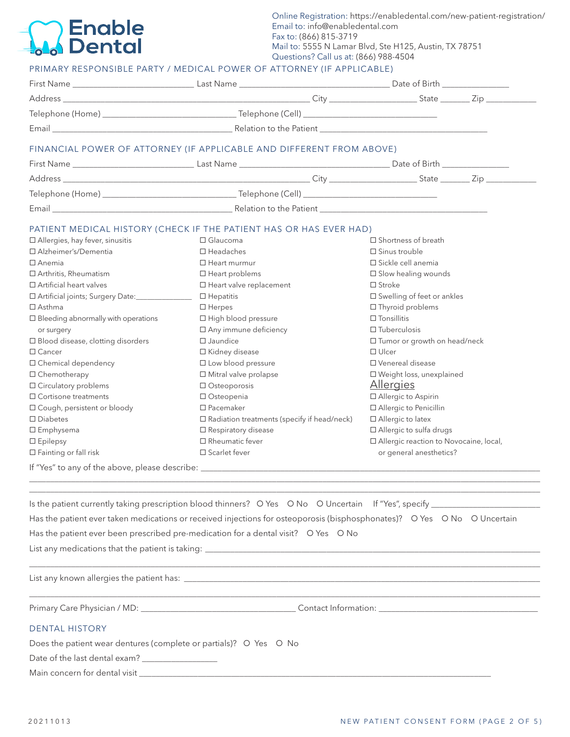### **Enable Dental**

Online Registration: https://enabledental.com/new-patient-registration/ Email to: info@enabledental.com Fax to: (866) 815-3719 Mail to: 5555 N Lamar Blvd, Ste H125, Austin, TX 78751 Questions? Call us at: (866) 988-4504

#### PRIMARY RESPONSIBLE PARTY / MEDICAL POWER OF ATTORNEY (IF APPLICABLE)

|                                            | Email <b>Example 2018</b> Relation to the Patient <b>Contract Contract Contract Contract Contract Contract Contract Contract Contract Contract Contract Contract Contract Contract Contract Contract Contract Contract Contract Contr</b> |                                          |  |
|--------------------------------------------|-------------------------------------------------------------------------------------------------------------------------------------------------------------------------------------------------------------------------------------------|------------------------------------------|--|
|                                            | FINANCIAL POWER OF ATTORNEY (IF APPLICABLE AND DIFFERENT FROM ABOVE)                                                                                                                                                                      |                                          |  |
|                                            |                                                                                                                                                                                                                                           |                                          |  |
|                                            |                                                                                                                                                                                                                                           |                                          |  |
|                                            |                                                                                                                                                                                                                                           |                                          |  |
|                                            |                                                                                                                                                                                                                                           |                                          |  |
|                                            | PATIENT MEDICAL HISTORY (CHECK IF THE PATIENT HAS OR HAS EVER HAD)                                                                                                                                                                        |                                          |  |
| $\Box$ Allergies, hay fever, sinusitis     | $\Box$ Glaucoma                                                                                                                                                                                                                           | $\Box$ Shortness of breath               |  |
| □ Alzheimer's/Dementia                     | $\Box$ Headaches                                                                                                                                                                                                                          | $\square$ Sinus trouble                  |  |
| $\Box$ Anemia                              | $\Box$ Heart murmur                                                                                                                                                                                                                       | □ Sickle cell anemia                     |  |
| □ Arthritis, Rheumatism                    | $\Box$ Heart problems                                                                                                                                                                                                                     | $\Box$ Slow healing wounds               |  |
| $\Box$ Artificial heart valves             | $\Box$ Heart valve replacement                                                                                                                                                                                                            | $\Box$ Stroke                            |  |
| □ Artificial joints; Surgery Date:         | $\Box$ Hepatitis                                                                                                                                                                                                                          | □ Swelling of feet or ankles             |  |
| $\Box$ Asthma                              | $\Box$ Herpes                                                                                                                                                                                                                             | □ Thyroid problems                       |  |
| $\Box$ Bleeding abnormally with operations | □ High blood pressure                                                                                                                                                                                                                     | $\Box$ Tonsillitis                       |  |
| or surgery                                 | □ Any immune deficiency                                                                                                                                                                                                                   | $\Box$ Tuberculosis                      |  |
| $\Box$ Blood disease, clotting disorders   | $\square$ Jaundice                                                                                                                                                                                                                        | $\Box$ Tumor or growth on head/neck      |  |
| $\Box$ Cancer                              | □ Kidney disease                                                                                                                                                                                                                          | $\Box$ Ulcer                             |  |
| □ Chemical dependency                      | $\square$ Low blood pressure                                                                                                                                                                                                              | □ Venereal disease                       |  |
| □ Chemotherapy                             | □ Mitral valve prolapse                                                                                                                                                                                                                   | □ Weight loss, unexplained               |  |
| □ Circulatory problems                     | □ Osteoporosis                                                                                                                                                                                                                            | Allergies                                |  |
| $\Box$ Cortisone treatments                | □ Osteopenia                                                                                                                                                                                                                              | □ Allergic to Aspirin                    |  |
| □ Cough, persistent or bloody              | $\Box$ Pacemaker                                                                                                                                                                                                                          | □ Allergic to Penicillin                 |  |
| $\square$ Diabetes                         | $\square$ Radiation treatments (specify if head/neck)                                                                                                                                                                                     | □ Allergic to latex                      |  |
|                                            | □ Respiratory disease                                                                                                                                                                                                                     | □ Allergic to sulfa drugs                |  |
| $\square$ Emphysema                        |                                                                                                                                                                                                                                           | □ Allergic reaction to Novocaine, local, |  |
| $\Box$ Epilepsy                            | $\Box$ Rheumatic fever                                                                                                                                                                                                                    |                                          |  |

| Is the patient currently taking prescription blood thinners? O Yes O No O Uncertain If "Yes", specify ____               |
|--------------------------------------------------------------------------------------------------------------------------|
| Has the patient ever taken medications or received injections for osteoporosis (bisphosphonates)? O Yes O No O Uncertain |
| Has the patient ever been prescribed pre-medication for a dental visit? O Yes O No                                       |
| List any medications that the patient is taking: _                                                                       |

\_\_\_\_\_\_\_\_\_\_\_\_\_\_\_\_\_\_\_\_\_\_\_\_\_\_\_\_\_\_\_\_\_\_\_\_\_\_\_\_\_\_\_\_\_\_\_\_\_\_\_\_\_\_\_\_\_\_\_\_\_\_\_\_\_\_\_\_\_\_\_\_\_\_\_\_\_\_\_\_\_\_\_\_\_\_\_\_\_\_\_\_\_\_\_\_\_\_\_\_\_\_\_\_\_\_\_\_\_\_\_\_\_\_\_\_\_\_\_\_\_\_

\_\_\_\_\_\_\_\_\_\_\_\_\_\_\_\_\_\_\_\_\_\_\_\_\_\_\_\_\_\_\_\_\_\_\_\_\_\_\_\_\_\_\_\_\_\_\_\_\_\_\_\_\_\_\_\_\_\_\_\_\_\_\_\_\_\_\_\_\_\_\_\_\_\_\_\_\_\_\_\_\_\_\_\_\_\_\_\_\_\_\_\_\_\_\_\_\_\_\_\_\_\_\_\_\_\_\_\_\_\_\_\_\_\_\_\_\_\_\_\_\_\_

\_\_\_\_\_\_\_\_\_\_\_\_\_\_\_\_\_\_\_\_\_\_\_\_\_\_\_\_\_\_\_\_\_\_\_\_\_\_\_\_\_\_\_\_\_\_\_\_\_\_\_\_\_\_\_\_\_\_\_\_\_\_\_\_\_\_\_\_\_\_\_\_\_\_\_\_\_\_\_\_\_\_\_\_\_\_\_\_\_\_\_\_\_\_\_\_\_\_\_\_\_\_\_\_\_\_\_\_\_\_\_\_\_\_\_\_\_\_\_\_\_\_

List any known allergies the patient has: \_\_\_\_\_\_\_\_\_\_\_\_\_\_\_\_\_\_\_\_\_\_\_\_\_\_\_\_\_\_\_\_\_\_\_\_\_\_\_\_\_\_\_\_\_\_\_\_\_\_\_\_\_\_\_\_\_\_\_\_\_\_\_\_\_\_\_\_\_\_\_\_\_\_\_\_\_\_\_\_\_\_\_\_\_

Primary Care Physician / MD: \_\_\_\_\_\_\_\_\_\_\_\_\_\_\_\_\_\_\_\_\_\_\_\_\_\_\_\_\_\_\_\_\_\_\_\_\_ Contact Information: \_\_\_\_\_\_\_\_\_\_\_\_\_\_\_\_\_\_\_\_\_\_\_\_\_\_\_\_\_\_\_\_\_\_\_\_\_\_

#### DENTAL HISTORY

Does the patient wear dentures (complete or partials)? O Yes O No

Date of the last dental exam? \_\_\_\_\_\_\_\_\_\_\_\_\_\_\_\_\_\_

Main concern for dental visit \_\_\_\_\_\_\_\_\_\_\_\_\_\_\_\_\_\_\_\_\_\_\_\_\_\_\_\_\_\_\_\_\_\_\_\_\_\_\_\_\_\_\_\_\_\_\_\_\_\_\_\_\_\_\_\_\_\_\_\_\_\_\_\_\_\_\_\_\_\_\_\_\_\_\_\_\_\_\_\_\_\_\_\_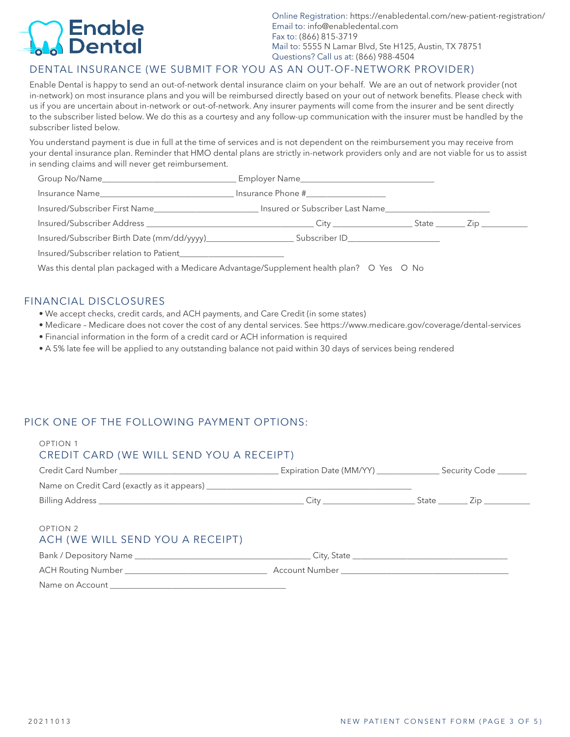## Enable **Dental**

Online Registration: https://enabledental.com/new-patient-registration/ Email to: info@enabledental.com Fax to: (866) 815-3719 Mail to: 5555 N Lamar Blvd, Ste H125, Austin, TX 78751 Questions? Call us at: (866) 988-4504

#### DENTAL INSURANCE (WE SUBMIT FOR YOU AS AN OUT-OF-NETWORK PROVIDER)

Enable Dental is happy to send an out-of-network dental insurance claim on your behalf. We are an out of network provider (not in-network) on most insurance plans and you will be reimbursed directly based on your out of network benefits. Please check with us if you are uncertain about in-network or out-of-network. Any insurer payments will come from the insurer and be sent directly to the subscriber listed below. We do this as a courtesy and any follow-up communication with the insurer must be handled by the subscriber listed below.

You understand payment is due in full at the time of services and is not dependent on the reimbursement you may receive from your dental insurance plan. Reminder that HMO dental plans are strictly in-network providers only and are not viable for us to assist in sending claims and will never get reimbursement.

|                                                                                                                | Insurance Phone #___________________ |  |  |
|----------------------------------------------------------------------------------------------------------------|--------------------------------------|--|--|
| Insured/Subscriber First Name_____________________________Insured or Subscriber Last Name_____________________ |                                      |  |  |
|                                                                                                                |                                      |  |  |
|                                                                                                                |                                      |  |  |
|                                                                                                                |                                      |  |  |
| Was this dental plan packaged with a Medicare Advantage/Supplement health plan? O Yes O No                     |                                      |  |  |

#### FINANCIAL DISCLOSURES

- We accept checks, credit cards, and ACH payments, and Care Credit (in some states)
- Medicare Medicare does not cover the cost of any dental services. See https://www.medicare.gov/coverage/dental-services
- Financial information in the form of a credit card or ACH information is required
- A 5% late fee will be applied to any outstanding balance not paid within 30 days of services being rendered

#### PICK ONE OF THE FOLLOWING PAYMENT OPTIONS:

| <b>OPTION 1</b><br>CREDIT CARD (WE WILL SEND YOU A RECEIPT) |  |  |
|-------------------------------------------------------------|--|--|
|                                                             |  |  |
|                                                             |  |  |
|                                                             |  |  |
| OPTION 2<br>ACH (WE WILL SEND YOU A RECEIPT)                |  |  |
|                                                             |  |  |
|                                                             |  |  |
| Name on Account                                             |  |  |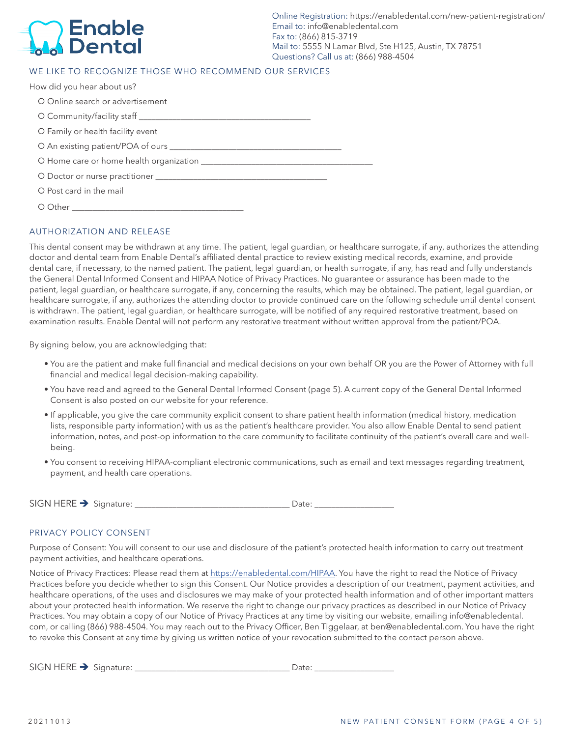## **Enable Dental**

Online Registration: https://enabledental.com/new-patient-registration/ Email to: info@enabledental.com Fax to: (866) 815-3719 Mail to: 5555 N Lamar Blvd, Ste H125, Austin, TX 78751 Questions? Call us at: (866) 988-4504

#### WE LIKE TO RECOGNIZE THOSE WHO RECOMMEND OUR SERVICES

| How did you hear about us?        |
|-----------------------------------|
| O Online search or advertisement  |
|                                   |
| O Family or health facility event |
|                                   |
|                                   |
|                                   |
| O Post card in the mail           |
|                                   |

#### AUTHORIZATION AND RELEASE

This dental consent may be withdrawn at any time. The patient, legal guardian, or healthcare surrogate, if any, authorizes the attending doctor and dental team from Enable Dental's affiliated dental practice to review existing medical records, examine, and provide dental care, if necessary, to the named patient. The patient, legal guardian, or health surrogate, if any, has read and fully understands the General Dental Informed Consent and HIPAA Notice of Privacy Practices. No guarantee or assurance has been made to the patient, legal guardian, or healthcare surrogate, if any, concerning the results, which may be obtained. The patient, legal guardian, or healthcare surrogate, if any, authorizes the attending doctor to provide continued care on the following schedule until dental consent is withdrawn. The patient, legal guardian, or healthcare surrogate, will be notified of any required restorative treatment, based on examination results. Enable Dental will not perform any restorative treatment without written approval from the patient/POA.

By signing below, you are acknowledging that:

- You are the patient and make full financial and medical decisions on your own behalf OR you are the Power of Attorney with full financial and medical legal decision-making capability.
- You have read and agreed to the General Dental Informed Consent (page 5). A current copy of the General Dental Informed Consent is also posted on our website for your reference.
- If applicable, you give the care community explicit consent to share patient health information (medical history, medication lists, responsible party information) with us as the patient's healthcare provider. You also allow Enable Dental to send patient information, notes, and post-op information to the care community to facilitate continuity of the patient's overall care and wellbeing.
- You consent to receiving HIPAA-compliant electronic communications, such as email and text messages regarding treatment, payment, and health care operations.

| SIGN HERE |                             |  |  |
|-----------|-----------------------------|--|--|
| -         | n P<br>$\cdot$ + 1 $\cup$ . |  |  |

#### PRIVACY POLICY CONSENT

Purpose of Consent: You will consent to our use and disclosure of the patient's protected health information to carry out treatment payment activities, and healthcare operations.

Notice of Privacy Practices: Please read them at https://enabledental.com/HIPAA. You have the right to read the Notice of Privacy Practices before you decide whether to sign this Consent. Our Notice provides a description of our treatment, payment activities, and healthcare operations, of the uses and disclosures we may make of your protected health information and of other important matters about your protected health information. We reserve the right to change our privacy practices as described in our Notice of Privacy Practices. You may obtain a copy of our Notice of Privacy Practices at any time by visiting our website, emailing info@enabledental. com, or calling (866) 988-4504. You may reach out to the Privacy Officer, Ben Tiggelaar, at ben@enabledental.com. You have the right to revoke this Consent at any time by giving us written notice of your revocation submitted to the contact person above.

SIGN HERE Signature: \_\_\_\_\_\_\_\_\_\_\_\_\_\_\_\_\_\_\_\_\_\_\_\_\_\_\_\_\_\_\_\_\_\_\_\_\_ Date: \_\_\_\_\_\_\_\_\_\_\_\_\_\_\_\_\_\_\_